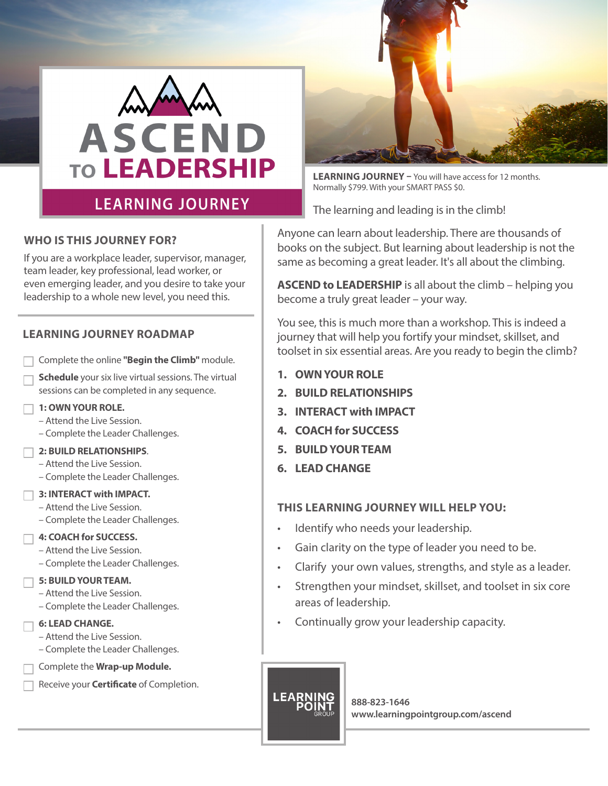

## **LEARNING JOURNEY**

#### **WHO IS THIS JOURNEY FOR?**

If you are a workplace leader, supervisor, manager, team leader, key professional, lead worker, or even emerging leader, and you desire to take your leadership to a whole new level, you need this.

#### **LEARNING JOURNEY ROADMAP**

- Complete the online **"Begin the Climb"** module.
- **• Schedule** your six live virtual sessions. The virtual sessions can be completed in any sequence.
- **• 1: OWN YOUR ROLE.**
	- Attend the Live Session.
	- Complete the Leader Challenges.
- **• 2: BUILD RELATIONSHIPS**.
- Attend the Live Session.
- Complete the Leader Challenges.

#### **• 3: INTERACT with IMPACT.**

- Attend the Live Session.
- Complete the Leader Challenges.

#### **• 4: COACH for SUCCESS.**

- Attend the Live Session.
- Complete the Leader Challenges.

#### **• 5: BUILD YOUR TEAM.**

- Attend the Live Session.
- Complete the Leader Challenges.

#### **• 6: LEAD CHANGE.**

- Attend the Live Session.
- Complete the Leader Challenges.
- Complete the **Wrap-up Module.**
- Receive your **Certificate** of Completion.



**LEARNING JOURNEY –** You will have access for 12 months. Normally \$799. With your SMART PASS \$0.

The learning and leading is in the climb!

Anyone can learn about leadership. There are thousands of books on the subject. But learning about leadership is not the same as becoming a great leader. It's all about the climbing.

**ASCEND to LEADERSHIP** is all about the climb – helping you become a truly great leader – your way.

You see, this is much more than a workshop. This is indeed a journey that will help you fortify your mindset, skillset, and toolset in six essential areas. Are you ready to begin the climb?

- **1. OWN YOUR ROLE**
- **2. BUILD RELATIONSHIPS**
- **3. INTERACT with IMPACT**
- **4. COACH for SUCCESS**
- **5. BUILD YOUR TEAM**
- **6. LEAD CHANGE**

#### **THIS LEARNING JOURNEY WILL HELP YOU:**

- Identify who needs your leadership.
- Gain clarity on the type of leader you need to be.
- Clarify your own values, strengths, and style as a leader.
- Strengthen your mindset, skillset, and toolset in six core areas of leadership.
- Continually grow your leadership capacity.

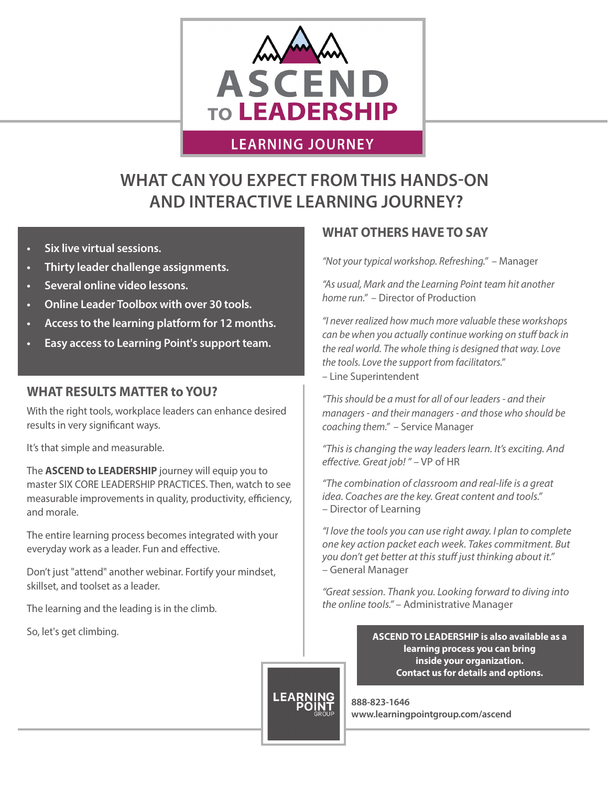

## **LEARNING JOURNEY**

# **WHAT CAN YOU EXPECT FROM THIS HANDS-ON AND INTERACTIVE LEARNING JOURNEY?**

- **• Six live virtual sessions.**
- **• Thirty leader challenge assignments.**
- **• Several online video lessons.**
- **• Online Leader Toolbox with over 30 tools.**
- **• Access to the learning platform for 12 months.**
- **• Easy access to Learning Point's support team.**

#### **WHAT RESULTS MATTER to YOU?**

With the right tools, workplace leaders can enhance desired results in very significant ways.

It's that simple and measurable.

The **ASCEND to LEADERSHIP** journey will equip you to master SIX CORE LEADERSHIP PRACTICES. Then, watch to see measurable improvements in quality, productivity, efficiency, and morale.

The entire learning process becomes integrated with your everyday work as a leader. Fun and effective.

Don't just "attend" another webinar. Fortify your mindset, skillset, and toolset as a leader.

The learning and the leading is in the climb.

So, let's get climbing.

## **WHAT OTHERS HAVE TO SAY**

*"Not your typical workshop. Refreshing."* – Manager

*"As usual, Mark and the Learning Point team hit another home run."* – Director of Production

*"I never realized how much more valuable these workshops can be when you actually continue working on stuff back in the real world. The whole thing is designed that way. Love the tools. Love the support from facilitators."* – Line Superintendent

*"This should be a must for all of our leaders - and their managers - and their managers - and those who should be coaching them."* – Service Manager

*"This is changing the way leaders learn. It's exciting. And effective. Great job! "* – VP of HR

*"The combination of classroom and real-life is a great idea. Coaches are the key. Great content and tools."*  – Director of Learning

*"I love the tools you can use right away. I plan to complete one key action packet each week. Takes commitment. But you don't get better at this stuff just thinking about it."*  – General Manager

*"Great session. Thank you. Looking forward to diving into the online tools."* – Administrative Manager

> **ASCEND TO LEADERSHIP is also available as a learning process you can bring inside your organization. Contact us for details and options.**

**888-823-1646 www.learningpointgroup.com/ascend**